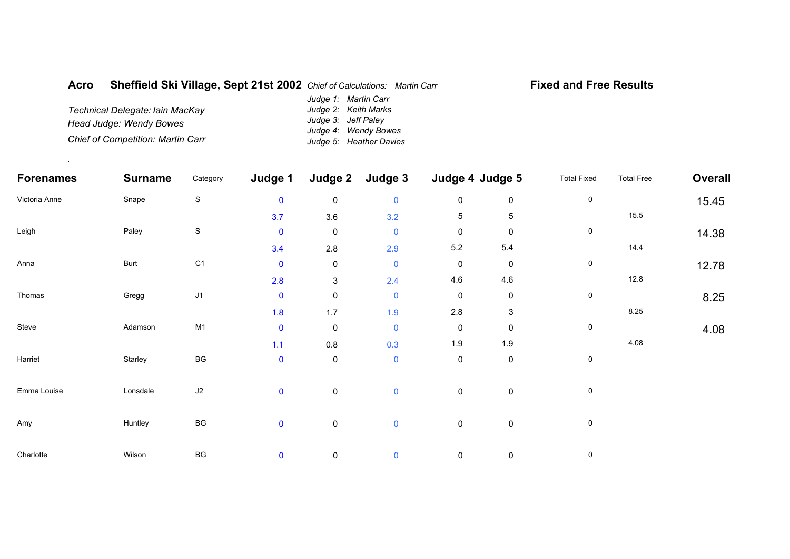## **AcroSheffield Ski Village, Sept 21st 2002** *Chief of Calculations: Martin Carr*

## **Fixed and Free Results**

*Technical Delegate: Iain MacKay Head Judge: Wendy Bowes Chief of Competition: Martin Carr Judge 1: Martin Carr Judge 2: Keith Marks Judge 3: Jeff Paley Judge 4: Wendy Bowes Judge 5: Heather Davies*

.

| <b>Forenames</b> | <b>Surname</b> | Category               | Judge 1     | Judge 2             | Judge 3     | Judge 4 Judge 5 |                           | <b>Total Fixed</b> | <b>Total Free</b> | <b>Overall</b> |
|------------------|----------------|------------------------|-------------|---------------------|-------------|-----------------|---------------------------|--------------------|-------------------|----------------|
| Victoria Anne    | Snape          | $\mathbf S$            | $\mathbf 0$ | $\mathsf{O}\xspace$ | $\mathbf 0$ | $\pmb{0}$       | $\mathsf 0$               | 0                  |                   | 15.45          |
|                  |                |                        | 3.7         | 3.6                 | 3.2         | $\,$ 5 $\,$     | 5                         |                    | 15.5              |                |
| Leigh            | Paley          | $\mathbf S$            | $\mathbf 0$ | $\pmb{0}$           | $\pmb{0}$   | $\pmb{0}$       | $\mathbf 0$               | 0                  |                   | 14.38          |
|                  |                |                        | 3.4         | $2.8\,$             | 2.9         | $5.2\,$         | 5.4                       |                    | 14.4              |                |
| Anna             | Burt           | C <sub>1</sub>         | $\mathbf 0$ | $\pmb{0}$           | $\mathbf 0$ | $\pmb{0}$       | $\mathbf 0$               | 0                  |                   | 12.78          |
|                  |                |                        | 2.8         | $\mathbf{3}$        | 2.4         | 4.6             | 4.6                       |                    | 12.8              |                |
| Thomas           | Gregg          | J1                     | $\mathbf 0$ | $\pmb{0}$           | $\mathbf 0$ | $\pmb{0}$       | $\mathbf 0$               | 0                  |                   | 8.25           |
|                  |                |                        | 1.8         | 1.7                 | 1.9         | $2.8\,$         | $\ensuremath{\mathsf{3}}$ |                    | 8.25              |                |
| Steve            | Adamson        | M1                     | $\mathbf 0$ | $\pmb{0}$           | $\mathbf 0$ | $\pmb{0}$       | $\mathbf 0$               | $\pmb{0}$          |                   | 4.08           |
|                  |                |                        | $1.1$       | $0.8\,$             | 0.3         | $1.9$           | 1.9                       |                    | 4.08              |                |
| Harriet          | Starley        | $\mathsf{B}\mathsf{G}$ | $\mathbf 0$ | $\mathsf{O}\xspace$ | $\mathbf 0$ | $\pmb{0}$       | $\mathsf 0$               | 0                  |                   |                |
| Emma Louise      | Lonsdale       | $\sf J2$               | $\mathbf 0$ | $\pmb{0}$           | $\mathbf 0$ | $\pmb{0}$       | $\mathbf 0$               | 0                  |                   |                |
| Amy              | Huntley        | $\mathsf{B}\mathsf{G}$ | $\mathbf 0$ | $\pmb{0}$           | $\mathbf 0$ | $\pmb{0}$       | $\pmb{0}$                 | 0                  |                   |                |
| Charlotte        | Wilson         | $\mathsf{B}\mathsf{G}$ | $\mathbf 0$ | 0                   | $\mathbf 0$ | $\pmb{0}$       | $\mathbf 0$               | 0                  |                   |                |